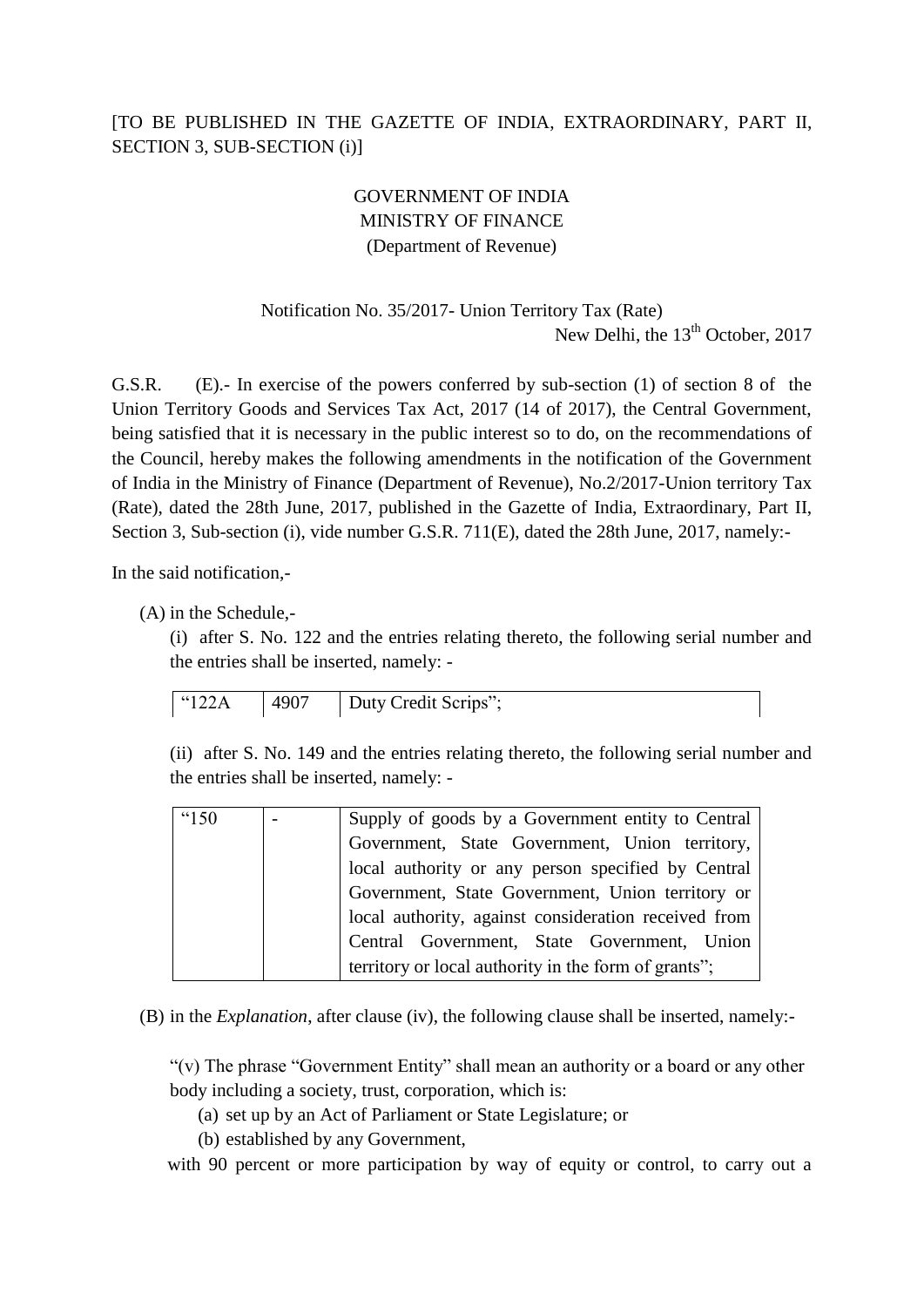## [TO BE PUBLISHED IN THE GAZETTE OF INDIA, EXTRAORDINARY, PART II, SECTION 3, SUB-SECTION (i)]

## GOVERNMENT OF INDIA MINISTRY OF FINANCE (Department of Revenue)

## Notification No. 35/2017- Union Territory Tax (Rate) New Delhi, the  $13<sup>th</sup>$  October, 2017

G.S.R. (E).- In exercise of the powers conferred by sub-section (1) of section 8 of the Union Territory Goods and Services Tax Act, 2017 (14 of 2017), the Central Government, being satisfied that it is necessary in the public interest so to do, on the recommendations of the Council, hereby makes the following amendments in the notification of the Government of India in the Ministry of Finance (Department of Revenue), No.2/2017-Union territory Tax (Rate), dated the 28th June, 2017, published in the Gazette of India, Extraordinary, Part II, Section 3, Sub-section (i), vide number G.S.R. 711(E), dated the 28th June, 2017, namely:-

In the said notification,-

(A) in the Schedule,-

(i) after S. No. 122 and the entries relating thereto, the following serial number and the entries shall be inserted, namely: -

| $^{(122)}$ | 4907 | Duty Credit Scrips"; |
|------------|------|----------------------|
|            |      |                      |

(ii) after S. No. 149 and the entries relating thereto, the following serial number and the entries shall be inserted, namely: -

| "150 | Supply of goods by a Government entity to Central    |
|------|------------------------------------------------------|
|      | Government, State Government, Union territory,       |
|      | local authority or any person specified by Central   |
|      | Government, State Government, Union territory or     |
|      | local authority, against consideration received from |
|      | Central Government, State Government, Union          |
|      | territory or local authority in the form of grants"; |
|      |                                                      |

(B) in the *Explanation*, after clause (iv), the following clause shall be inserted, namely:-

"(v) The phrase "Government Entity" shall mean an authority or a board or any other body including a society, trust, corporation, which is:

- (a) set up by an Act of Parliament or State Legislature; or
- (b) established by any Government,

with 90 percent or more participation by way of equity or control, to carry out a